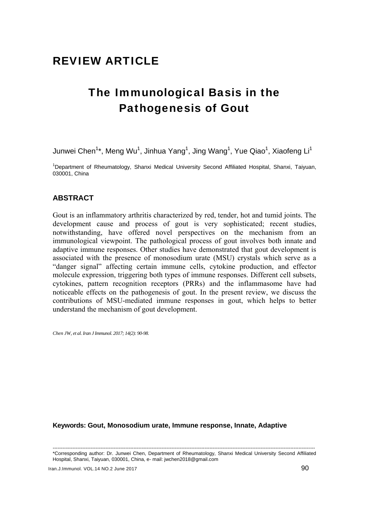## REVIEW ARTICLE

# The Immunological Basis in the Pathogenesis of Gout

Junwei Chen $^{1*}$ , Meng Wu $^{1}$ , Jinhua Yang $^{1}$ , Jing Wang $^{1}$ , Yue Qiao $^{1}$ , Xiaofeng Li $^{1}$ 

<sup>1</sup>Department of Rheumatology, Shanxi Medical University Second Affiliated Hospital, Shanxi, Taiyuan, 030001, China

### **ABSTRACT**

Gout is an inflammatory arthritis characterized by red, tender, hot and tumid joints. The development cause and process of gout is very sophisticated; recent studies, notwithstanding, have offered novel perspectives on the mechanism from an immunological viewpoint. The pathological process of gout involves both innate and adaptive immune responses. Other studies have demonstrated that gout development is associated with the presence of monosodium urate (MSU) crystals which serve as a "danger signal" affecting certain immune cells, cytokine production, and effector molecule expression, triggering both types of immune responses. Different cell subsets, cytokines, pattern recognition receptors (PRRs) and the inflammasome have had noticeable effects on the pathogenesis of gout. In the present review, we discuss the contributions of MSU-mediated immune responses in gout, which helps to better understand the mechanism of gout development.

*Chen JW, et al. Iran J Immunol. 2017; 14(2): 90-98.* 

**Keywords: Gout, Monosodium urate, Immune response, Innate, Adaptive** 

--------------------------------------------------------------------------------------------------------------------------------------------------------------- \*Corresponding author: Dr. Junwei Chen, Department of Rheumatology, Shanxi Medical University Second Affiliated Hospital, Shanxi, Taiyuan, 030001, China, e- mail: jwchen2018@gmail.com

Iran.J.Immunol. VOL.14 NO.2 June 2017 90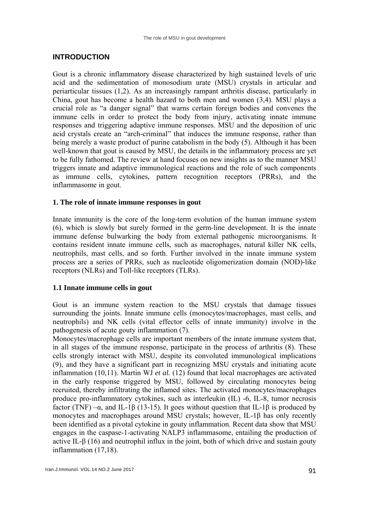## **INTRODUCTION**

Gout is a chronic inflammatory disease characterized by high sustained levels of uric acid and the sedimentation of monosodium urate (MSU) crystals in articular and periarticular tissues (1,2). As an increasingly rampant arthritis disease, particularly in China, gout has become a health hazard to both men and women (3,4). MSU plays a crucial role as "a danger signal" that warns certain foreign bodies and convenes the immune cells in order to protect the body from injury, activating innate immune responses and triggering adaptive immune responses. MSU and the deposition of uric acid crystals create an "arch-criminal" that induces the immune response, rather than being merely a waste product of purine catabolism in the body (5). Although it has been well-known that gout is caused by MSU, the details in the inflammatory process are yet to be fully fathomed. The review at hand focuses on new insights as to the manner MSU triggers innate and adaptive immunological reactions and the role of such components as immune cells, cytokines, pattern recognition receptors (PRRs), and the inflammasome in gout.

#### **1. The role of innate immune responses in gout**

Innate immunity is the core of the long-term evolution of the human immune system (6), which is slowly but surely formed in the germ-line development. It is the innate immune defense bulwarking the body from external pathogenic microorganisms. It contains resident innate immune cells, such as macrophages, natural killer NK cells, neutrophils, mast cells, and so forth. Further involved in the innate immune system process are a series of PRRs, such as nucleotide oligomerization domain (NOD)-like receptors (NLRs) and Toll-like receptors (TLRs).

#### **1.1 Innate immune cells in gout**

Gout is an immune system reaction to the MSU crystals that damage tissues surrounding the joints. Innate immune cells (monocytes/macrophages, mast cells, and neutrophils) and NK cells (vital effector cells of innate immunity) involve in the pathogenesis of acute gouty inflammation (7).

Monocytes/macrophage cells are important members of the innate immune system that, in all stages of the immune response, participate in the process of arthritis (8). These cells strongly interact with MSU, despite its convoluted immunological implications (9), and they have a significant part in recognizing MSU crystals and initiating acute inflammation (10,11). Martin WJ *et al.* (12) found that local macrophages are activated in the early response triggered by MSU, followed by circulating monocytes being recruited, thereby infiltrating the inflamed sites. The activated monocytes/macrophages produce pro-inflammatory cytokines, such as interleukin (IL) -6, IL-8, tumor necrosis factor (TNF) – $\alpha$ , and IL-1β (13-15). It goes without question that IL-1β is produced by monocytes and macrophages around MSU crystals; however, IL-1β has only recently been identified as a pivotal cytokine in gouty inflammation. Recent data show that MSU engages in the caspase-1-activating NALP3 inflammasome, entailing the production of active IL- $\beta$  (16) and neutrophil influx in the joint, both of which drive and sustain gouty inflammation (17,18).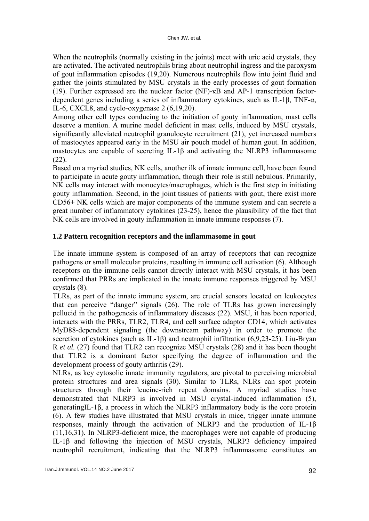When the neutrophils (normally existing in the joints) meet with uric acid crystals, they are activated. The activated neutrophils bring about neutrophil ingress and the paroxysm of gout inflammation episodes (19,20). Numerous neutrophils flow into joint fluid and gather the joints stimulated by MSU crystals in the early processes of gout formation (19). Further expressed are the nuclear factor (NF)-κB and AP-1 transcription factordependent genes including a series of inflammatory cytokines, such as IL-1β, TNF-α, IL-6, CXCL8, and cyclo-oxygenase 2 (6,19,20).

Among other cell types conducing to the initiation of gouty inflammation, mast cells deserve a mention. A murine model deficient in mast cells, induced by MSU crystals, significantly alleviated neutrophil granulocyte recruitment (21), yet increased numbers of mastocytes appeared early in the MSU air pouch model of human gout. In addition, mastocytes are capable of secreting IL-1β and activating the NLRP3 inflammasome (22).

Based on a myriad studies, NK cells, another ilk of innate immune cell, have been found to participate in acute gouty inflammation, though their role is still nebulous. Primarily, NK cells may interact with monocytes/macrophages, which is the first step in initiating gouty inflammation. Second, in the joint tissues of patients with gout, there exist more CD56+ NK cells which are major components of the immune system and can secrete a great number of inflammatory cytokines (23-25), hence the plausibility of the fact that NK cells are involved in gouty inflammation in innate immune responses (7).

#### **1.2 Pattern recognition receptors and the inflammasome in gout**

The innate immune system is composed of an array of receptors that can recognize pathogens or small molecular proteins, resulting in immune cell activation (6). Although receptors on the immune cells cannot directly interact with MSU crystals, it has been confirmed that PRRs are implicated in the innate immune responses triggered by MSU crystals (8).

TLRs, as part of the innate immune system, are crucial sensors located on leukocytes that can perceive "danger" signals (26). The role of TLRs has grown increasingly pellucid in the pathogenesis of inflammatory diseases (22). MSU, it has been reported, interacts with the PRRs, TLR2, TLR4, and cell surface adaptor CD14, which activates MyD88-dependent signaling (the downstream pathway) in order to promote the secretion of cytokines (such as IL-1β) and neutrophil infiltration (6,9,23-25). Liu-Bryan R *et al.* (27) found that TLR2 can recognize MSU crystals (28) and it has been thought that TLR2 is a dominant factor specifying the degree of inflammation and the development process of gouty arthritis (29).

NLRs, as key cytosolic innate immunity regulators, are pivotal to perceiving microbial protein structures and area signals (30). Similar to TLRs, NLRs can spot protein structures through their leucine-rich repeat domains. A myriad studies have demonstrated that NLRP3 is involved in MSU crystal-induced inflammation (5), generatingIL-1β, a process in which the NLRP3 inflammatory body is the core protein (6). A few studies have illustrated that MSU crystals in mice, trigger innate immune responses, mainly through the activation of NLRP3 and the production of IL-1β (11,16,31). In NLRP3-deficient mice, the macrophages were not capable of producing IL-1β and following the injection of MSU crystals, NLRP3 deficiency impaired neutrophil recruitment, indicating that the NLRP3 inflammasome constitutes an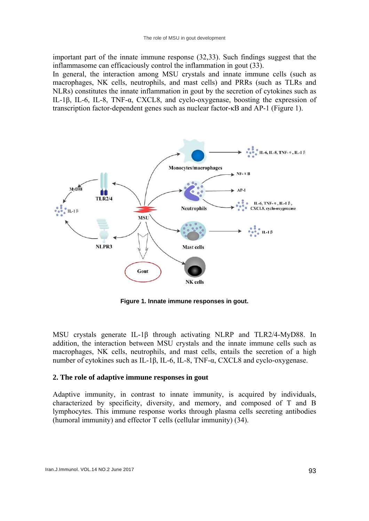important part of the innate immune response (32,33). Such findings suggest that the inflammasome can efficaciously control the inflammation in gout (33).

In general, the interaction among MSU crystals and innate immune cells (such as macrophages, NK cells, neutrophils, and mast cells) and PRRs (such as TLRs and NLRs) constitutes the innate inflammation in gout by the secretion of cytokines such as IL-1β, IL-6, IL-8, TNF-α, CXCL8, and cyclo-oxygenase, boosting the expression of transcription factor-dependent genes such as nuclear factor-κB and AP-1 (Figure 1).



**Figure 1. Innate immune responses in gout.** 

MSU crystals generate IL-1β through activating NLRP and TLR2/4-MyD88. In addition, the interaction between MSU crystals and the innate immune cells such as macrophages, NK cells, neutrophils, and mast cells, entails the secretion of a high number of cytokines such as IL-1β, IL-6, IL-8, TNF-α, CXCL8 and cyclo-oxygenase.

#### **2. The role of adaptive immune responses in gout**

Adaptive immunity, in contrast to innate immunity, is acquired by individuals, characterized by specificity, diversity, and memory, and composed of T and B lymphocytes. This immune response works through plasma cells secreting antibodies (humoral immunity) and effector T cells (cellular immunity) (34).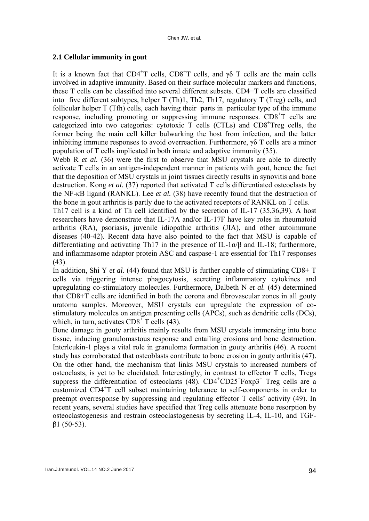#### **2.1 Cellular immunity in gout**

It is a known fact that CD4<sup>+</sup>T cells, CD8<sup>+</sup>T cells, and  $\gamma\delta$  T cells are the main cells involved in adaptive immunity. Based on their surface molecular markers and functions, these T cells can be classified into several different subsets. CD4+T cells are classified into five different subtypes, helper T (Th)1, Th2, Th17, regulatory T (Treg) cells, and follicular helper T (Tfh) cells, each having their parts in particular type of the immune response, including promoting or suppressing immune responses. CD8<sup>+</sup>T cells are categorized into two categories: cytotoxic T cells (CTLs) and CD8<sup>+</sup>Treg cells, the former being the main cell killer bulwarking the host from infection, and the latter inhibiting immune responses to avoid overreaction. Furthermore,  $\gamma \delta$  T cells are a minor population of T cells implicated in both innate and adaptive immunity (35).

Webb R *et al.* (36) were the first to observe that MSU crystals are able to directly activate T cells in an antigen-independent manner in patients with gout, hence the fact that the deposition of MSU crystals in joint tissues directly results in synovitis and bone destruction. Kong *et al.* (37) reported that activated T cells differentiated osteoclasts by the NF-κB ligand (RANKL). Lee *et al.* (38) have recently found that the destruction of the bone in gout arthritis is partly due to the activated receptors of RANKL on T cells.

Th17 cell is a kind of Th cell identified by the secretion of IL-17 (35,36,39). A host researchers have demonstrate that IL-17A and/or IL-17F have key roles in rheumatoid arthritis (RA), psoriasis, juvenile idiopathic arthritis (JIA), and other autoimmune diseases (40-42). Recent data have also pointed to the fact that MSU is capable of differentiating and activating Th17 in the presence of IL-1 $\alpha/\beta$  and IL-18; furthermore, and inflammasome adaptor protein ASC and caspase-1 are essential for Th17 responses (43).

In addition, Shi Y *et al.* (44) found that MSU is further capable of stimulating CD8+ T cells via triggering intense phagocytosis, secreting inflammatory cytokines and upregulating co-stimulatory molecules. Furthermore, Dalbeth N *et al.* (45) determined that CD8+T cells are identified in both the corona and fibrovascular zones in all gouty uratoma samples. Moreover, MSU crystals can upregulate the expression of costimulatory molecules on antigen presenting cells (APCs), such as dendritic cells (DCs), which, in turn, activates  $CD8<sup>+</sup>$  T cells (43).

Bone damage in gouty arthritis mainly results from MSU crystals immersing into bone tissue, inducing granulomastous response and entailing erosions and bone destruction. Interleukin-1 plays a vital role in granuloma formation in gouty arthritis (46). A recent study has corroborated that osteoblasts contribute to bone erosion in gouty arthritis (47). On the other hand, the mechanism that links MSU crystals to increased numbers of osteoclasts, is yet to be elucidated. Interestingly, in contrast to effector T cells, Tregs suppress the differentiation of osteoclasts  $(48)$ . CD4<sup>+</sup>CD25<sup>+</sup>Foxp3<sup>+</sup> Treg cells are a customized CD4+ T cell subset maintaining tolerance to self-components in order to preempt overresponse by suppressing and regulating effector T cells' activity (49). In recent years, several studies have specified that Treg cells attenuate bone resorption by osteoclastogenesis and restrain osteoclastogenesis by secreting IL-4, IL-10, and TGFβ1 (50-53).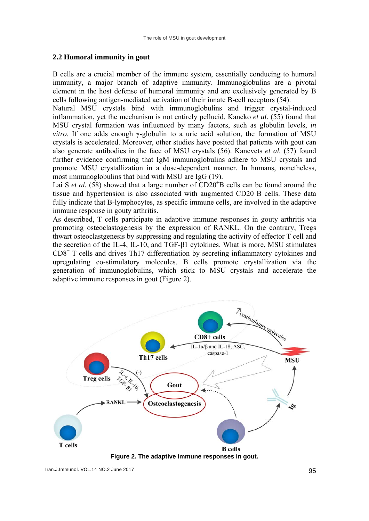#### **2.2 Humoral immunity in gout**

B cells are a crucial member of the immune system, essentially conducing to humoral immunity, a major branch of adaptive immunity. Immunoglobulins are a pivotal element in the host defense of humoral immunity and are exclusively generated by B cells following antigen-mediated activation of their innate B-cell receptors (54).

Natural MSU crystals bind with immunoglobulins and trigger crystal-induced inflammation, yet the mechanism is not entirely pellucid. Kaneko *et al.* (55) found that MSU crystal formation was influenced by many factors, such as globulin levels, *in vitro*. If one adds enough γ-globulin to a uric acid solution, the formation of MSU crystals is accelerated. Moreover, other studies have posited that patients with gout can also generate antibodies in the face of MSU crystals (56). Kanevets *et al.* (57) found further evidence confirming that IgM immunoglobulins adhere to MSU crystals and promote MSU crystallization in a dose-dependent manner. In humans, nonetheless, most immunoglobulins that bind with MSU are IgG (19).

Lai S *et al.* (58) showed that a large number of  $CD20<sup>+</sup>B$  cells can be found around the tissue and hypertension is also associated with augmented CD20<sup>+</sup>B cells. These data fully indicate that B-lymphocytes, as specific immune cells, are involved in the adaptive immune response in gouty arthritis.

As described, T cells participate in adaptive immune responses in gouty arthritis via promoting osteoclastogenesis by the expression of RANKL. On the contrary, Tregs thwart osteoclastgenesis by suppressing and regulating the activity of effector T cell and the secretion of the IL-4, IL-10, and TGF-β1 cytokines. What is more, MSU stimulates CD8<sup>+</sup> T cells and drives Th17 differentiation by secreting inflammatory cytokines and upregulating co-stimulatory molecules. B cells promote crystallization via the generation of immunoglobulins, which stick to MSU crystals and accelerate the adaptive immune responses in gout (Figure 2).



**Figure 2. The adaptive immune responses in gout.**

Iran.J.Immunol. VOL.14 NO.2 June 2017 95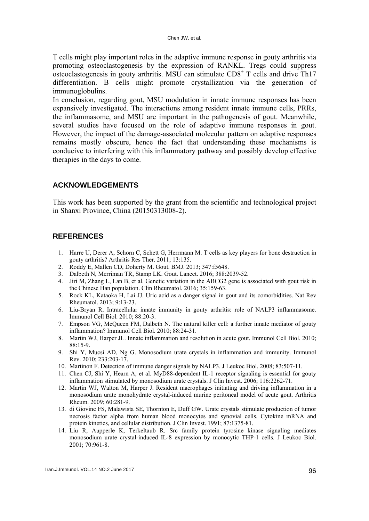T cells might play important roles in the adaptive immune response in gouty arthritis via promoting osteoclastogenesis by the expression of RANKL. Tregs could suppress  $\overline{\text{S}}$  osteoclastogenesis in gouty arthritis. MSU can stimulate CD8<sup>+</sup> T cells and drive Th17 differentiation. B cells might promote crystallization via the generation of immunoglobulins.

In conclusion, regarding gout, MSU modulation in innate immune responses has been expansively investigated. The interactions among resident innate immune cells, PRRs, the inflammasome, and MSU are important in the pathogenesis of gout. Meanwhile, several studies have focused on the role of adaptive immune responses in gout. However, the impact of the damage-associated molecular pattern on adaptive responses remains mostly obscure, hence the fact that understanding these mechanisms is conducive to interfering with this inflammatory pathway and possibly develop effective therapies in the days to come.

#### **ACKNOWLEDGEMENTS**

This work has been supported by the grant from the scientific and technological project in Shanxi Province, China (20150313008-2).

#### **REFERENCES**

- 1. Harre U, Derer A, Schorn C, Schett G, Herrmann M. T cells as key players for bone destruction in gouty arthritis? Arthritis Res Ther. 2011; 13:135.
- 2. Roddy E, Mallen CD, Doherty M. Gout. BMJ. 2013; 347:f5648.
- 3. Dalbeth N, Merriman TR, Stamp LK. Gout. Lancet. 2016; 388:2039-52.
- 4. Jiri M, Zhang L, Lan B, et al. Genetic variation in the ABCG2 gene is associated with gout risk in the Chinese Han population. Clin Rheumatol. 2016; 35:159-63.
- 5. Rock KL, Kataoka H, Lai JJ. Uric acid as a danger signal in gout and its comorbidities. Nat Rev Rheumatol. 2013; 9:13-23.
- 6. Liu-Bryan R. Intracellular innate immunity in gouty arthritis: role of NALP3 inflammasome. Immunol Cell Biol. 2010; 88:20-3.
- 7. Empson VG, McQueen FM, Dalbeth N. The natural killer cell: a further innate mediator of gouty inflammation? Immunol Cell Biol. 2010; 88:24-31.
- 8. Martin WJ, Harper JL. Innate inflammation and resolution in acute gout. Immunol Cell Biol. 2010; 88:15-9.
- 9. Shi Y, Mucsi AD, Ng G. Monosodium urate crystals in inflammation and immunity. Immunol Rev. 2010; 233:203-17.
- 10. Martinon F. Detection of immune danger signals by NALP3. J Leukoc Biol. 2008; 83:507-11.
- 11. Chen CJ, Shi Y, Hearn A, et al. MyD88-dependent IL-1 receptor signaling is essential for gouty inflammation stimulated by monosodium urate crystals. J Clin Invest. 2006; 116:2262-71.
- 12. Martin WJ, Walton M, Harper J. Resident macrophages initiating and driving inflammation in a monosodium urate monohydrate crystal-induced murine peritoneal model of acute gout. Arthritis Rheum. 2009; 60:281-9.
- 13. di Giovine FS, Malawista SE, Thornton E, Duff GW. Urate crystals stimulate production of tumor necrosis factor alpha from human blood monocytes and synovial cells. Cytokine mRNA and protein kinetics, and cellular distribution. J Clin Invest. 1991; 87:1375-81.
- 14. Liu R, Aupperle K, Terkeltaub R. Src family protein tyrosine kinase signaling mediates monosodium urate crystal-induced IL-8 expression by monocytic THP-1 cells. J Leukoc Biol. 2001; 70:961-8.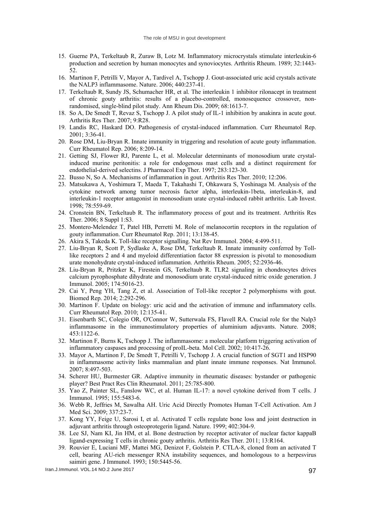- 15. Guerne PA, Terkeltaub R, Zuraw B, Lotz M. Inflammatory microcrystals stimulate interleukin-6 production and secretion by human monocytes and synoviocytes. Arthritis Rheum. 1989; 32:1443- 52.
- 16. Martinon F, Petrilli V, Mayor A, Tardivel A, Tschopp J. Gout-associated uric acid crystals activate the NALP3 inflammasome. Nature. 2006; 440:237-41.
- 17. Terkeltaub R, Sundy JS, Schumacher HR, et al. The interleukin 1 inhibitor rilonacept in treatment of chronic gouty arthritis: results of a placebo-controlled, monosequence crossover, nonrandomised, single-blind pilot study. Ann Rheum Dis. 2009; 68:1613-7.
- 18. So A, De Smedt T, Revaz S, Tschopp J. A pilot study of IL-1 inhibition by anakinra in acute gout. Arthritis Res Ther. 2007; 9:R28.
- 19. Landis RC, Haskard DO. Pathogenesis of crystal-induced inflammation. Curr Rheumatol Rep. 2001; 3:36-41.
- 20. Rose DM, Liu-Bryan R. Innate immunity in triggering and resolution of acute gouty inflammation. Curr Rheumatol Rep. 2006; 8:209-14.
- 21. Getting SJ, Flower RJ, Parente L, et al. Molecular determinants of monosodium urate crystalinduced murine peritonitis: a role for endogenous mast cells and a distinct requirement for endothelial-derived selectins. J Pharmacol Exp Ther. 1997; 283:123-30.
- 22. Busso N, So A. Mechanisms of inflammation in gout. Arthritis Res Ther. 2010; 12:206.
- 23. Matsukawa A, Yoshimura T, Maeda T, Takahashi T, Ohkawara S, Yoshinaga M. Analysis of the cytokine network among tumor necrosis factor alpha, interleukin-1beta, interleukin-8, and interleukin-1 receptor antagonist in monosodium urate crystal-induced rabbit arthritis. Lab Invest. 1998; 78:559-69.
- 24. Cronstein BN, Terkeltaub R. The inflammatory process of gout and its treatment. Arthritis Res Ther. 2006; 8 Suppl 1:S3.
- 25. Montero-Melendez T, Patel HB, Perretti M. Role of melanocortin receptors in the regulation of gouty inflammation. Curr Rheumatol Rep. 2011; 13:138-45.
- 26. Akira S, Takeda K. Toll-like receptor signalling. Nat Rev Immunol. 2004; 4:499-511.
- 27. Liu-Bryan R, Scott P, Sydlaske A, Rose DM, Terkeltaub R. Innate immunity conferred by Tolllike receptors 2 and 4 and myeloid differentiation factor 88 expression is pivotal to monosodium urate monohydrate crystal-induced inflammation. Arthritis Rheum. 2005; 52:2936-46.
- 28. Liu-Bryan R, Pritzker K, Firestein GS, Terkeltaub R. TLR2 signaling in chondrocytes drives calcium pyrophosphate dihydrate and monosodium urate crystal-induced nitric oxide generation. J Immunol. 2005; 174:5016-23.
- 29. Cai Y, Peng YH, Tang Z, et al. Association of Toll-like receptor 2 polymorphisms with gout. Biomed Rep. 2014; 2:292-296.
- 30. Martinon F. Update on biology: uric acid and the activation of immune and inflammatory cells. Curr Rheumatol Rep. 2010; 12:135-41.
- 31. Eisenbarth SC, Colegio OR, O'Connor W, Sutterwala FS, Flavell RA. Crucial role for the Nalp3 inflammasome in the immunostimulatory properties of aluminium adjuvants. Nature. 2008; 453:1122-6.
- 32. Martinon F, Burns K, Tschopp J. The inflammasome: a molecular platform triggering activation of inflammatory caspases and processing of proIL-beta. Mol Cell. 2002; 10:417-26.
- 33. Mayor A, Martinon F, De Smedt T, Petrilli V, Tschopp J. A crucial function of SGT1 and HSP90 in inflammasome activity links mammalian and plant innate immune responses. Nat Immunol. 2007; 8:497-503.
- 34. Scherer HU, Burmester GR. Adaptive immunity in rheumatic diseases: bystander or pathogenic player? Best Pract Res Clin Rheumatol. 2011; 25:785-800.
- 35. Yao Z, Painter SL, Fanslow WC, et al. Human IL-17: a novel cytokine derived from T cells. J Immunol. 1995; 155:5483-6.
- 36. Webb R, Jeffries M, Sawalha AH. Uric Acid Directly Promotes Human T-Cell Activation. Am J Med Sci. 2009; 337:23-7.
- 37. Kong YY, Feige U, Sarosi I, et al. Activated T cells regulate bone loss and joint destruction in adjuvant arthritis through osteoprotegerin ligand. Nature. 1999; 402:304-9.
- 38. Lee SJ, Nam KI, Jin HM, et al. Bone destruction by receptor activator of nuclear factor kappaB ligand-expressing T cells in chronic gouty arthritis. Arthritis Res Ther. 2011; 13:R164.
- 39. Rouvier E, Luciani MF, Mattei MG, Denizot F, Golstein P. CTLA-8, cloned from an activated T cell, bearing AU-rich messenger RNA instability sequences, and homologous to a herpesvirus saimiri gene. J Immunol. 1993; 150:5445-56.